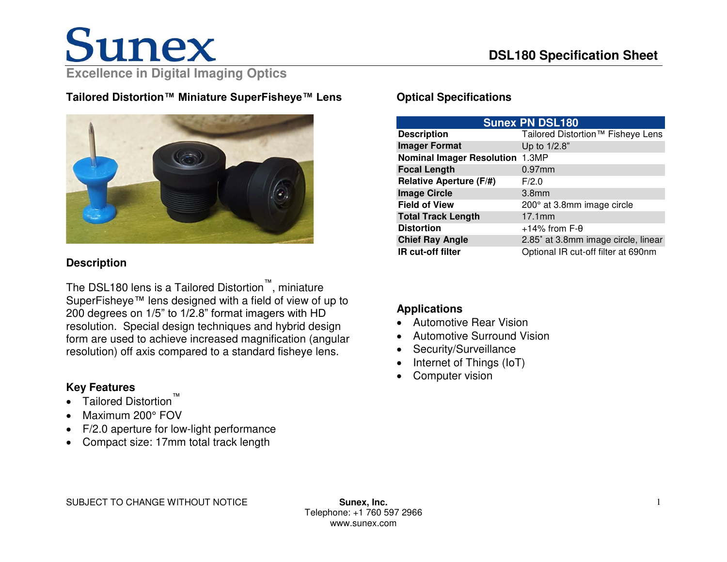**Tailored Distortion™ Miniature SuperFisheye™ Lens** 



### **Description**

The DSL180 lens is a Tailored Distortion™, miniature SuperFisheye™ lens designed with a field of view of up to 200 degrees on 1/5" to 1/2.8" format imagers with HD resolution. Special design techniques and hybrid design form are used to achieve increased magnification (angular resolution) off axis compared to a standard fisheye lens.

## **Key Features**

- Tailored Distortion
- Maximum 200° FOV
- F/2.0 aperture for low-light performance
- Compact size: 17mm total track length

## **Optical Specifications**

| <b>Sunex PN DSL180</b>                 |                                     |
|----------------------------------------|-------------------------------------|
| <b>Description</b>                     | Tailored Distortion™ Fisheye Lens   |
| <b>Imager Format</b>                   | Up to 1/2.8"                        |
| <b>Nominal Imager Resolution 1.3MP</b> |                                     |
| <b>Focal Length</b>                    | $0.97$ mm                           |
| <b>Relative Aperture (F/#)</b>         | F/2.0                               |
| <b>Image Circle</b>                    | 3.8 <sub>mm</sub>                   |
| <b>Field of View</b>                   | 200° at 3.8mm image circle          |
| <b>Total Track Length</b>              | $17.1$ mm                           |
| <b>Distortion</b>                      | $+14\%$ from F- $\theta$            |
| <b>Chief Ray Angle</b>                 | 2.85° at 3.8mm image circle, linear |
| IR cut-off filter                      | Optional IR cut-off filter at 690nm |

## **Applications**

- Automotive Rear Vision
- Automotive Surround Vision
- Security/Surveillance
- Internet of Things (IoT)
- Computer vision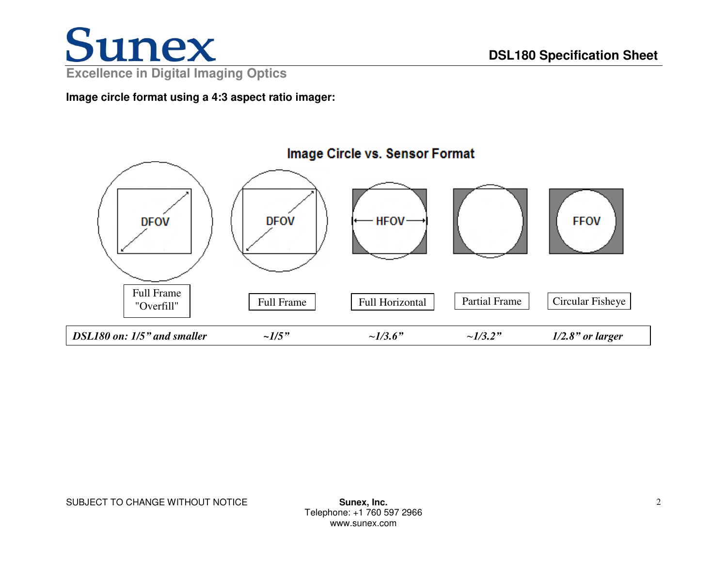

**Image circle format using a 4:3 aspect ratio imager:** 



SUBJECT TO CHANGE WITHOUT NOTICE **SUBJECT TO CHANGE WITHOUT NOTICE**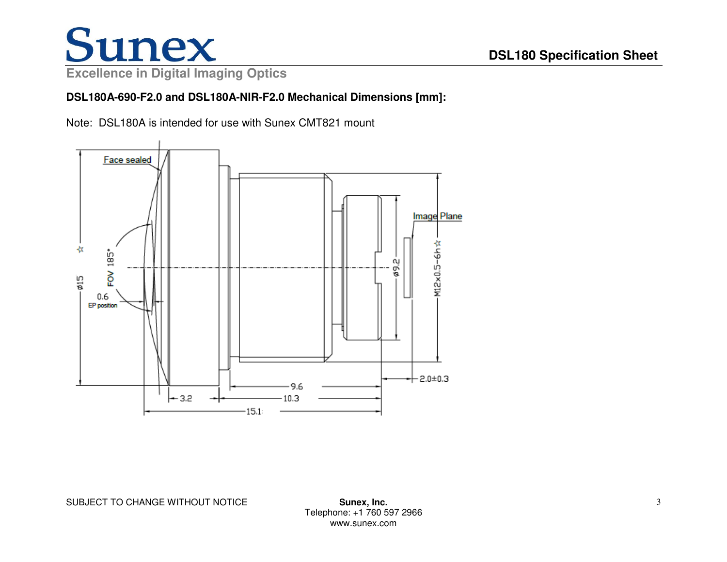# Sunex

**Excellence in Digital Imaging Optics**

## **DSL180A-690-F2.0 and DSL180A-NIR-F2.0 Mechanical Dimensions [mm]:**

Note: DSL180A is intended for use with Sunex CMT821 mount